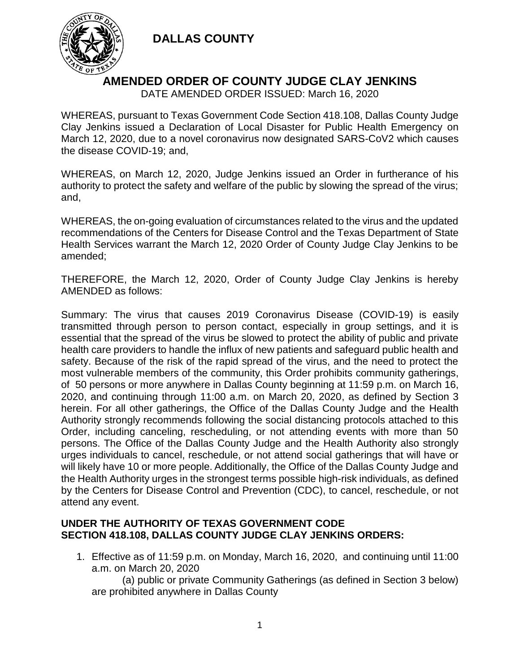

## **AMENDED ORDER OF COUNTY JUDGE CLAY JENKINS**

DATE AMENDED ORDER ISSUED: March 16, 2020

WHEREAS, pursuant to Texas Government Code Section 418.108, Dallas County Judge Clay Jenkins issued a Declaration of Local Disaster for Public Health Emergency on March 12, 2020, due to a novel coronavirus now designated SARS-CoV2 which causes the disease COVID-19; and,

WHEREAS, on March 12, 2020, Judge Jenkins issued an Order in furtherance of his authority to protect the safety and welfare of the public by slowing the spread of the virus; and,

WHEREAS, the on-going evaluation of circumstances related to the virus and the updated recommendations of the Centers for Disease Control and the Texas Department of State Health Services warrant the March 12, 2020 Order of County Judge Clay Jenkins to be amended;

THEREFORE, the March 12, 2020, Order of County Judge Clay Jenkins is hereby AMENDED as follows:

Summary: The virus that causes 2019 Coronavirus Disease (COVID-19) is easily transmitted through person to person contact, especially in group settings, and it is essential that the spread of the virus be slowed to protect the ability of public and private health care providers to handle the influx of new patients and safeguard public health and safety. Because of the risk of the rapid spread of the virus, and the need to protect the most vulnerable members of the community, this Order prohibits community gatherings, of 50 persons or more anywhere in Dallas County beginning at 11:59 p.m. on March 16, 2020, and continuing through 11:00 a.m. on March 20, 2020, as defined by Section 3 herein. For all other gatherings, the Office of the Dallas County Judge and the Health Authority strongly recommends following the social distancing protocols attached to this Order, including canceling, rescheduling, or not attending events with more than 50 persons. The Office of the Dallas County Judge and the Health Authority also strongly urges individuals to cancel, reschedule, or not attend social gatherings that will have or will likely have 10 or more people. Additionally, the Office of the Dallas County Judge and the Health Authority urges in the strongest terms possible high-risk individuals, as defined by the Centers for Disease Control and Prevention (CDC), to cancel, reschedule, or not attend any event.

#### **UNDER THE AUTHORITY OF TEXAS GOVERNMENT CODE SECTION 418.108, DALLAS COUNTY JUDGE CLAY JENKINS ORDERS:**

1. Effective as of 11:59 p.m. on Monday, March 16, 2020, and continuing until 11:00 a.m. on March 20, 2020

(a) public or private Community Gatherings (as defined in Section 3 below) are prohibited anywhere in Dallas County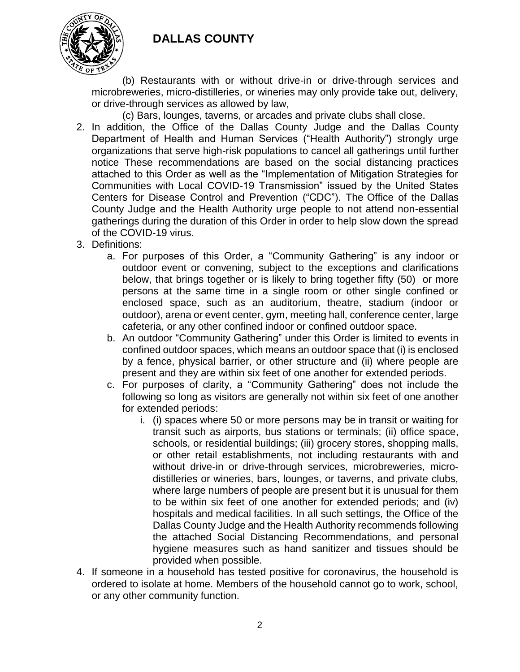

(b) Restaurants with or without drive-in or drive-through services and microbreweries, micro-distilleries, or wineries may only provide take out, delivery, or drive-through services as allowed by law,

(c) Bars, lounges, taverns, or arcades and private clubs shall close.

- 2. In addition, the Office of the Dallas County Judge and the Dallas County Department of Health and Human Services ("Health Authority") strongly urge organizations that serve high-risk populations to cancel all gatherings until further notice These recommendations are based on the social distancing practices attached to this Order as well as the "Implementation of Mitigation Strategies for Communities with Local COVID-19 Transmission" issued by the United States Centers for Disease Control and Prevention ("CDC"). The Office of the Dallas County Judge and the Health Authority urge people to not attend non-essential gatherings during the duration of this Order in order to help slow down the spread of the COVID-19 virus.
- 3. Definitions:
	- a. For purposes of this Order, a "Community Gathering" is any indoor or outdoor event or convening, subject to the exceptions and clarifications below, that brings together or is likely to bring together fifty (50) or more persons at the same time in a single room or other single confined or enclosed space, such as an auditorium, theatre, stadium (indoor or outdoor), arena or event center, gym, meeting hall, conference center, large cafeteria, or any other confined indoor or confined outdoor space.
	- b. An outdoor "Community Gathering" under this Order is limited to events in confined outdoor spaces, which means an outdoor space that (i) is enclosed by a fence, physical barrier, or other structure and (ii) where people are present and they are within six feet of one another for extended periods.
	- c. For purposes of clarity, a "Community Gathering" does not include the following so long as visitors are generally not within six feet of one another for extended periods:
		- i. (i) spaces where 50 or more persons may be in transit or waiting for transit such as airports, bus stations or terminals; (ii) office space, schools, or residential buildings; (iii) grocery stores, shopping malls, or other retail establishments, not including restaurants with and without drive-in or drive-through services, microbreweries, microdistilleries or wineries, bars, lounges, or taverns, and private clubs, where large numbers of people are present but it is unusual for them to be within six feet of one another for extended periods; and (iv) hospitals and medical facilities. In all such settings, the Office of the Dallas County Judge and the Health Authority recommends following the attached Social Distancing Recommendations, and personal hygiene measures such as hand sanitizer and tissues should be provided when possible.
- 4. If someone in a household has tested positive for coronavirus, the household is ordered to isolate at home. Members of the household cannot go to work, school, or any other community function.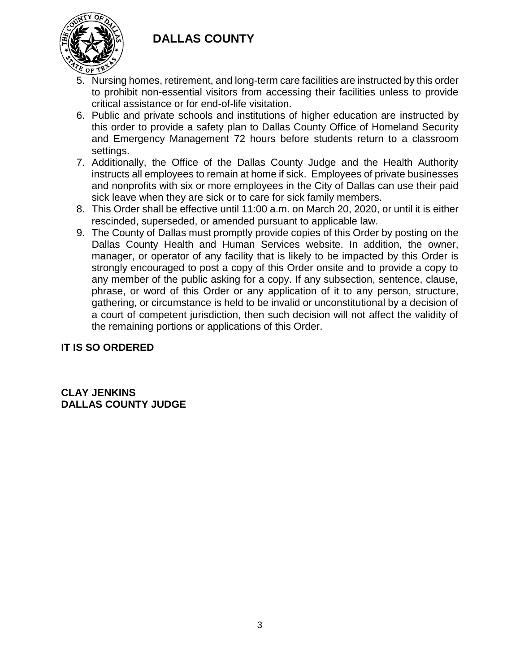

- 5. Nursing homes, retirement, and long-term care facilities are instructed by this order to prohibit non-essential visitors from accessing their facilities unless to provide critical assistance or for end-of-life visitation.
- 6. Public and private schools and institutions of higher education are instructed by this order to provide a safety plan to Dallas County Office of Homeland Security and Emergency Management 72 hours before students return to a classroom settings.
- 7. Additionally, the Office of the Dallas County Judge and the Health Authority instructs all employees to remain at home if sick. Employees of private businesses and nonprofits with six or more employees in the City of Dallas can use their paid sick leave when they are sick or to care for sick family members.
- 8. This Order shall be effective until 11:00 a.m. on March 20, 2020, or until it is either rescinded, superseded, or amended pursuant to applicable law.
- 9. The County of Dallas must promptly provide copies of this Order by posting on the Dallas County Health and Human Services website. In addition, the owner, manager, or operator of any facility that is likely to be impacted by this Order is strongly encouraged to post a copy of this Order onsite and to provide a copy to any member of the public asking for a copy. If any subsection, sentence, clause, phrase, or word of this Order or any application of it to any person, structure, gathering, or circumstance is held to be invalid or unconstitutional by a decision of a court of competent jurisdiction, then such decision will not affect the validity of the remaining portions or applications of this Order.

## **IT IS SO ORDERED**

**CLAY JENKINS DALLAS COUNTY JUDGE**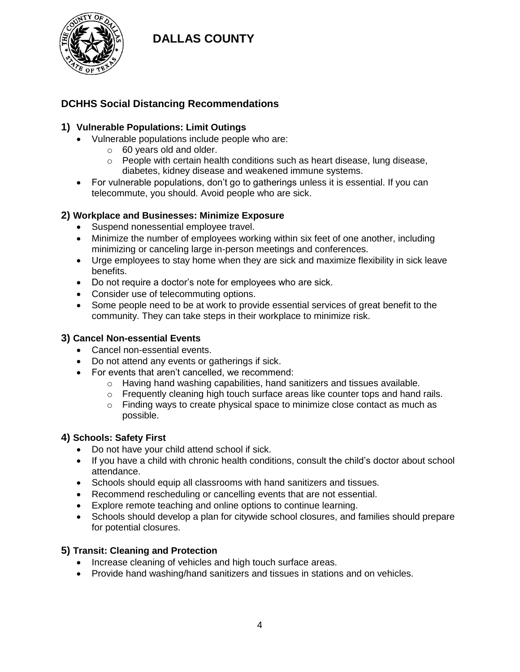

## **DCHHS Social Distancing Recommendations**

### **1) Vulnerable Populations: Limit Outings**

- Vulnerable populations include people who are:
	- o 60 years old and older.
	- $\circ$  People with certain health conditions such as heart disease, lung disease, diabetes, kidney disease and weakened immune systems.
- For vulnerable populations, don't go to gatherings unless it is essential. If you can telecommute, you should. Avoid people who are sick.

#### **2) Workplace and Businesses: Minimize Exposure**

- Suspend nonessential employee travel.
- Minimize the number of employees working within six feet of one another, including minimizing or canceling large in-person meetings and conferences.
- Urge employees to stay home when they are sick and maximize flexibility in sick leave benefits.
- Do not require a doctor's note for employees who are sick.
- Consider use of telecommuting options.
- Some people need to be at work to provide essential services of great benefit to the community. They can take steps in their workplace to minimize risk.

### **3) Cancel Non-essential Events**

- Cancel non-essential events.
- Do not attend any events or gatherings if sick.
- For events that aren't cancelled, we recommend:
	- o Having hand washing capabilities, hand sanitizers and tissues available.
	- $\circ$  Frequently cleaning high touch surface areas like counter tops and hand rails.
	- $\circ$  Finding ways to create physical space to minimize close contact as much as possible.

#### **4) Schools: Safety First**

- Do not have your child attend school if sick.
- If you have a child with chronic health conditions, consult the child's doctor about school attendance.
- Schools should equip all classrooms with hand sanitizers and tissues.
- Recommend rescheduling or cancelling events that are not essential.
- Explore remote teaching and online options to continue learning.
- Schools should develop a plan for citywide school closures, and families should prepare for potential closures.

### **5) Transit: Cleaning and Protection**

- Increase cleaning of vehicles and high touch surface areas.
- Provide hand washing/hand sanitizers and tissues in stations and on vehicles.